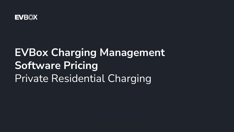

# **EVBox Charging Management Software Pricing**  Private Residential Charging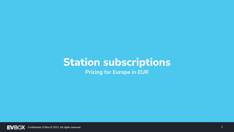## **Station subscriptions**

**Pricing for Europe in EUR**

**EVB**<sup></sup> Confidential. EVBox © 2022. All rights reserved.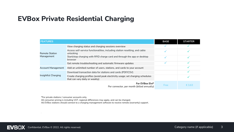#### **EVBox Private Residential Charging**

| <b>FEATURES</b>              |                                                                                                                  | <b>BASE</b> | <b>STARTER</b> |
|------------------------------|------------------------------------------------------------------------------------------------------------------|-------------|----------------|
| Remote Station<br>Management | View charging status and charging sessions overview                                                              |             |                |
|                              | Access self-service functionalities, including station resetting, and cable<br>unlocking                         |             |                |
|                              | Start/stop charging with RFID charge card and through the app or desktop<br>browser                              |             |                |
|                              | Get remote troubleshooting and automatic firmware updates                                                        |             |                |
| <b>Account Management</b>    | Add an unlimited number of users, stations, and cards to your account                                            |             |                |
| Insightful Charging          | Download transaction data for stations and cards (PDF/CSV)                                                       |             |                |
|                              | Create charging profiles (avoid peak electricity usage; set charging schedules<br>that can vary daily or weekly) |             |                |
|                              | For EVBox Elvi*<br>Per connector, per month (billed annually)                                                    | Free        | € 3.63         |

\*For private stations / consumer accounts only.

All consumer pricing is including VAT, regional differences may apply, and can be changed. All EVBox stations should connect to a charging management software to receive remote (warranty) support.

.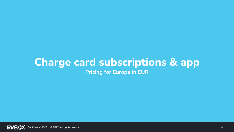### **Charge card subscriptions & app Pricing for Europe in EUR**

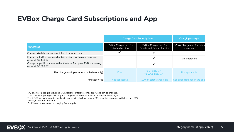#### **EVBox Charge Card Subscriptions and App**

|                                                                                         | <b>Charge Card Subscriptions</b>                 |                                                             | <b>Charging via App</b>                        |
|-----------------------------------------------------------------------------------------|--------------------------------------------------|-------------------------------------------------------------|------------------------------------------------|
| <b>FEATURES</b>                                                                         | <b>EVBox Charge card for</b><br>Private charging | <b>EVBox Charge card for</b><br>Private and Public charging | <b>EVBox Charge app for public</b><br>charging |
| Charge privately on stations linked to your account                                     |                                                  |                                                             |                                                |
| Charge on EVBox-managed public stations within our European<br>network (+24,000)        |                                                  |                                                             | via credit card                                |
| Charge on public stations within the total European EVBox roaming<br>network (+130,000) |                                                  |                                                             |                                                |
| Per charge card, per month (billed monthly)                                             | Free                                             | * $\epsilon$ 2 (excl. VAT)<br>**€ 2,42 (incl. $VAT$ )       | Not applicable                                 |
| Transaction fee                                                                         | Not applicable                                   | 10% of total transaction                                    | See applicable fee in the app                  |

\*All business pricing is excluding VAT, regional differences may apply, and can be changed.

\*\*All consumer pricing is including VAT, regional differences may apply, and can be changed.

The 2 EUR subscription price applies to markets in which we have > 50% roaming coverage. With less then 50%

coverage: 0 EUR/card/month.

For Private transactions, no charging fee is applied.